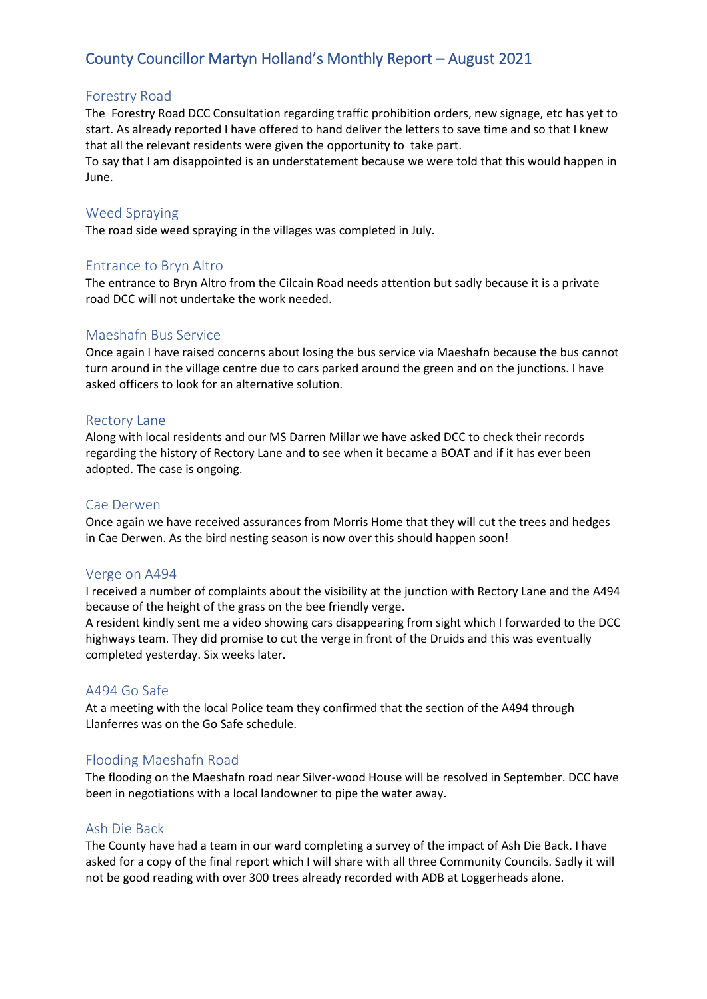# County Councillor Martyn Holland's Monthly Report – August 2021

# Forestry Road

The Forestry Road DCC Consultation regarding traffic prohibition orders, new signage, etc has yet to start. As already reported I have offered to hand deliver the letters to save time and so that I knew that all the relevant residents were given the opportunity to take part.

To say that I am disappointed is an understatement because we were told that this would happen in June.

#### Weed Spraying

The road side weed spraying in the villages was completed in July.

## Entrance to Bryn Altro

The entrance to Bryn Altro from the Cilcain Road needs attention but sadly because it is a private road DCC will not undertake the work needed.

## Maeshafn Bus Service

Once again I have raised concerns about losing the bus service via Maeshafn because the bus cannot turn around in the village centre due to cars parked around the green and on the junctions. I have asked officers to look for an alternative solution.

#### Rectory Lane

Along with local residents and our MS Darren Millar we have asked DCC to check their records regarding the history of Rectory Lane and to see when it became a BOAT and if it has ever been adopted. The case is ongoing.

#### Cae Derwen

Once again we have received assurances from Morris Home that they will cut the trees and hedges in Cae Derwen. As the bird nesting season is now over this should happen soon!

#### Verge on A494

I received a number of complaints about the visibility at the junction with Rectory Lane and the A494 because of the height of the grass on the bee friendly verge.

A resident kindly sent me a video showing cars disappearing from sight which I forwarded to the DCC highways team. They did promise to cut the verge in front of the Druids and this was eventually completed yesterday. Six weeks later.

#### A494 Go Safe

At a meeting with the local Police team they confirmed that the section of the A494 through Llanferres was on the Go Safe schedule.

#### Flooding Maeshafn Road

The flooding on the Maeshafn road near Silver-wood House will be resolved in September. DCC have been in negotiations with a local landowner to pipe the water away.

#### Ash Die Back

The County have had a team in our ward completing a survey of the impact of Ash Die Back. I have asked for a copy of the final report which I will share with all three Community Councils. Sadly it will not be good reading with over 300 trees already recorded with ADB at Loggerheads alone.